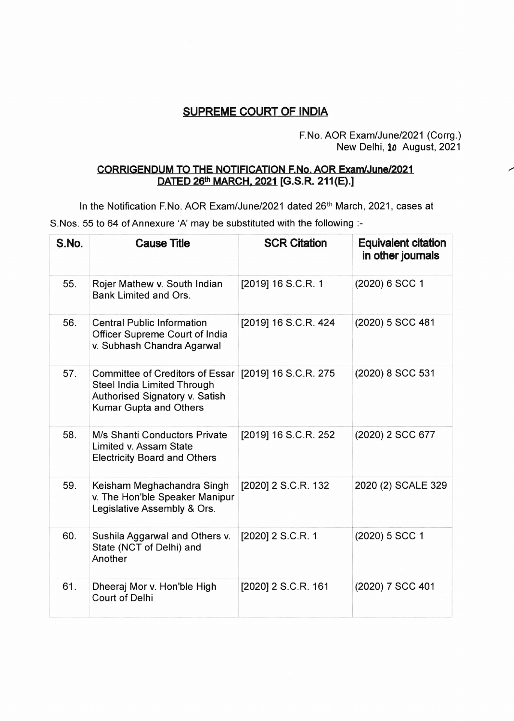## **SUPREME COURT OF INDIA**

## F.No. AOR Exam/June/2021 (Corrg.) New Delhi, 10 August, 2021

## **CORRIGENDUM TO THE NOTIFICATION F.No. AOR Exam/June/2021 DATED 26th MARCH, 2021 [G.S.R. 211(E).]**

In the Notification F.No. AOR Exam/June/2021 dated 26<sup>th</sup> March, 2021, cases at S.Nos. 55 to 64 of Annexure 'A' may be substituted with the following :-

| S.No. | <b>Cause Title</b>                                                                                                         | <b>SCR Citation</b>  | <b>Equivalent citation</b><br>in other journals |
|-------|----------------------------------------------------------------------------------------------------------------------------|----------------------|-------------------------------------------------|
| 55.   | Rojer Mathew v. South Indian<br>Bank Limited and Ors.                                                                      | [2019] 16 S.C.R. 1   | (2020) 6 SCC 1                                  |
| 56.   | <b>Central Public Information</b><br>Officer Supreme Court of India<br>v. Subhash Chandra Agarwal                          | [2019] 16 S.C.R. 424 | (2020) 5 SCC 481                                |
| 57.   | Committee of Creditors of Essar<br>Steel India Limited Through<br>Authorised Signatory v. Satish<br>Kumar Gupta and Others | [2019] 16 S.C.R. 275 | (2020) 8 SCC 531                                |
| 58.   | M/s Shanti Conductors Private<br>Limited v. Assam State<br><b>Electricity Board and Others</b>                             | [2019] 16 S.C.R. 252 | (2020) 2 SCC 677                                |
| 59.   | Keisham Meghachandra Singh<br>v. The Hon'ble Speaker Manipur<br>Legislative Assembly & Ors.                                | [2020] 2 S.C.R. 132  | 2020 (2) SCALE 329                              |
| 60.   | Sushila Aggarwal and Others v.<br>State (NCT of Delhi) and<br>Another                                                      | [2020] 2 S.C.R. 1    | (2020) 5 SCC 1                                  |
| 61.   | Dheeraj Mor v. Hon'ble High<br><b>Court of Delhi</b>                                                                       | [2020] 2 S.C.R. 161  | (2020) 7 SCC 401                                |